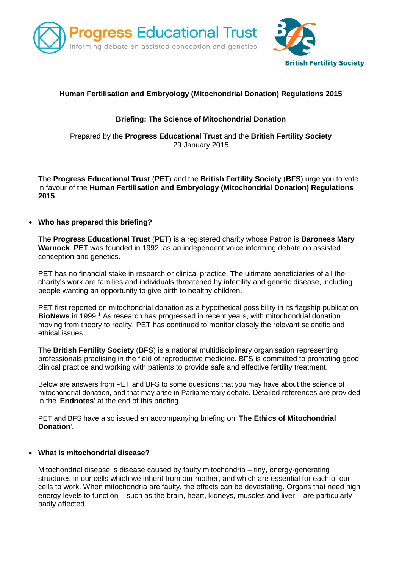



# **Human Fertilisation and Embryology (Mitochondrial Donation) Regulations 2015**

## **Briefing: The Science of Mitochondrial Donation**

Prepared by the **Progress Educational Trust** and the **British Fertility Society** 29 January 2015

The **Progress Educational Trust** (**PET**) and the **British Fertility Society** (**BFS**) urge you to vote in favour of the **Human Fertilisation and Embryology (Mitochondrial Donation) Regulations 2015**.

## **Who has prepared this briefing?**

The **Progress Educational Trust** (**PET**) is a registered charity whose Patron is **Baroness Mary Warnock**. **PET** was founded in 1992, as an independent voice informing debate on assisted conception and genetics.

PET has no financial stake in research or clinical practice. The ultimate beneficiaries of all the charity's work are families and individuals threatened by infertility and genetic disease, including people wanting an opportunity to give birth to healthy children.

PET first reported on mitochondrial donation as a hypothetical possibility in its flagship publication **BioNews** in 1999. <sup>1</sup> As research has progressed in recent years, with mitochondrial donation moving from theory to reality, PET has continued to monitor closely the relevant scientific and ethical issues.

The **British Fertility Society** (**BFS**) is a national multidisciplinary organisation representing professionals practising in the field of reproductive medicine. BFS is committed to promoting good clinical practice and working with patients to provide safe and effective fertility treatment.

Below are answers from PET and BFS to some questions that you may have about the science of mitochondrial donation, and that may arise in Parliamentary debate. Detailed references are provided in the '**Endnotes**' at the end of this briefing.

PET and BFS have also issued an accompanying briefing on '**The Ethics of Mitochondrial Donation**'.

## **What is mitochondrial disease?**

Mitochondrial disease is disease caused by faulty mitochondria – tiny, energy-generating structures in our cells which we inherit from our mother, and which are essential for each of our cells to work. When mitochondria are faulty, the effects can be devastating. Organs that need high energy levels to function – such as the brain, heart, kidneys, muscles and liver – are particularly badly affected.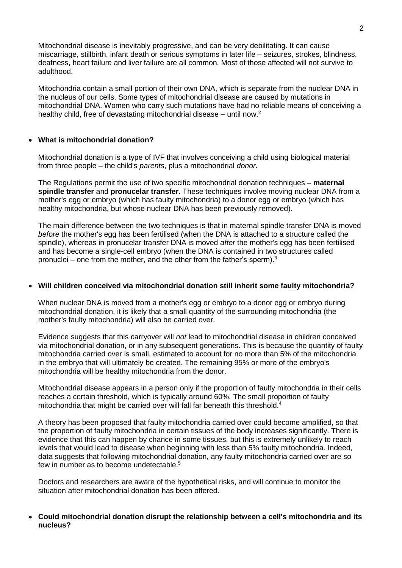Mitochondrial disease is inevitably progressive, and can be very debilitating. It can cause miscarriage, stillbirth, infant death or serious symptoms in later life – seizures, strokes, blindness, deafness, heart failure and liver failure are all common. Most of those affected will not survive to adulthood.

Mitochondria contain a small portion of their own DNA, which is separate from the nuclear DNA in the nucleus of our cells. Some types of mitochondrial disease are caused by mutations in mitochondrial DNA. Women who carry such mutations have had no reliable means of conceiving a healthy child, free of devastating mitochondrial disease – until now.<sup>2</sup>

### **What is mitochondrial donation?**

Mitochondrial donation is a type of IVF that involves conceiving a child using biological material from three people – the child's *parents*, plus a mitochondrial *donor*.

The Regulations permit the use of two specific mitochondrial donation techniques – **maternal spindle transfer** and **pronucelar transfer.** These techniques involve moving nuclear DNA from a mother's egg or embryo (which has faulty mitochondria) to a donor egg or embryo (which has healthy mitochondria, but whose nuclear DNA has been previously removed).

The main difference between the two techniques is that in maternal spindle transfer DNA is moved *before* the mother's egg has been fertilised (when the DNA is attached to a structure called the spindle), whereas in pronucelar transfer DNA is moved *after* the mother's egg has been fertilised and has become a single-cell embryo (when the DNA is contained in two structures called pronuclei – one from the mother, and the other from the father's sperm). $3$ 

#### **Will children conceived via mitochondrial donation still inherit some faulty mitochondria?**

When nuclear DNA is moved from a mother's egg or embryo to a donor egg or embryo during mitochondrial donation, it is likely that a small quantity of the surrounding mitochondria (the mother's faulty mitochondria) will also be carried over.

Evidence suggests that this carryover will *not* lead to mitochondrial disease in children conceived via mitochondrial donation, or in any subsequent generations. This is because the quantity of faulty mitochondria carried over is small, estimated to account for no more than 5% of the mitochondria in the embryo that will ultimately be created. The remaining 95% or more of the embryo's mitochondria will be healthy mitochondria from the donor.

Mitochondrial disease appears in a person only if the proportion of faulty mitochondria in their cells reaches a certain threshold, which is typically around 60%. The small proportion of faulty mitochondria that might be carried over will fall far beneath this threshold.<sup>4</sup>

A theory has been proposed that faulty mitochondria carried over could become amplified, so that the proportion of faulty mitochondria in certain tissues of the body increases significantly. There is evidence that this can happen by chance in some tissues, but this is extremely unlikely to reach levels that would lead to disease when beginning with less than 5% faulty mitochondria. Indeed, data suggests that following mitochondrial donation, any faulty mitochondria carried over are so few in number as to become undetectable.<sup>5</sup>

Doctors and researchers are aware of the hypothetical risks, and will continue to monitor the situation after mitochondrial donation has been offered.

 **Could mitochondrial donation disrupt the relationship between a cell's mitochondria and its nucleus?**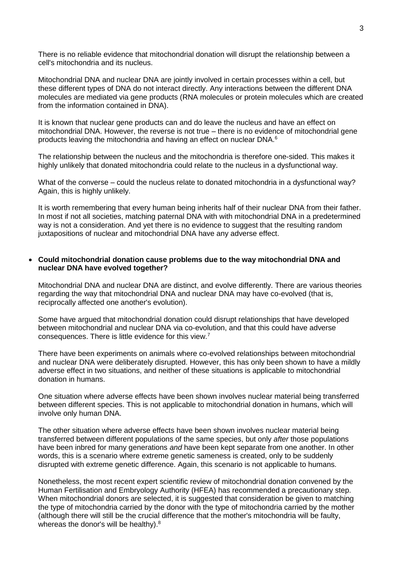There is no reliable evidence that mitochondrial donation will disrupt the relationship between a cell's mitochondria and its nucleus.

Mitochondrial DNA and nuclear DNA are jointly involved in certain processes within a cell, but these different types of DNA do not interact directly. Any interactions between the different DNA molecules are mediated via gene products (RNA molecules or protein molecules which are created from the information contained in DNA).

It is known that nuclear gene products can and do leave the nucleus and have an effect on mitochondrial DNA. However, the reverse is not true – there is no evidence of mitochondrial gene products leaving the mitochondria and having an effect on nuclear DNA.<sup>6</sup>

The relationship between the nucleus and the mitochondria is therefore one-sided. This makes it highly unlikely that donated mitochondria could relate to the nucleus in a dysfunctional way.

What of the converse – could the nucleus relate to donated mitochondria in a dysfunctional way? Again, this is highly unlikely.

It is worth remembering that every human being inherits half of their nuclear DNA from their father. In most if not all societies, matching paternal DNA with with mitochondrial DNA in a predetermined way is not a consideration. And yet there is no evidence to suggest that the resulting random juxtapositions of nuclear and mitochondrial DNA have any adverse effect.

#### **Could mitochondrial donation cause problems due to the way mitochondrial DNA and nuclear DNA have evolved together?**

Mitochondrial DNA and nuclear DNA are distinct, and evolve differently. There are various theories regarding the way that mitochondrial DNA and nuclear DNA may have co-evolved (that is, reciprocally affected one another's evolution).

Some have argued that mitochondrial donation could disrupt relationships that have developed between mitochondrial and nuclear DNA via co-evolution, and that this could have adverse consequences. There is little evidence for this view.<sup>7</sup>

There have been experiments on animals where co-evolved relationships between mitochondrial and nuclear DNA were deliberately disrupted. However, this has only been shown to have a mildly adverse effect in two situations, and neither of these situations is applicable to mitochondrial donation in humans.

One situation where adverse effects have been shown involves nuclear material being transferred between different species. This is not applicable to mitochondrial donation in humans, which will involve only human DNA.

The other situation where adverse effects have been shown involves nuclear material being transferred between different populations of the same species, but only *after* those populations have been inbred for many generations *and* have been kept separate from one another. In other words, this is a scenario where extreme genetic sameness is created, only to be suddenly disrupted with extreme genetic difference. Again, this scenario is not applicable to humans.

Nonetheless, the most recent expert scientific review of mitochondrial donation convened by the Human Fertilisation and Embryology Authority (HFEA) has recommended a precautionary step. When mitochondrial donors are selected, it is suggested that consideration be given to matching the type of mitochondria carried by the donor with the type of mitochondria carried by the mother (although there will still be the crucial difference that the mother's mitochondria will be faulty, whereas the donor's will be healthy).<sup>8</sup>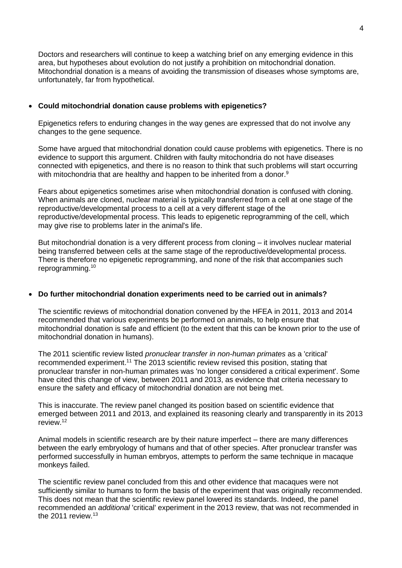Doctors and researchers will continue to keep a watching brief on any emerging evidence in this area, but hypotheses about evolution do not justify a prohibition on mitochondrial donation. Mitochondrial donation is a means of avoiding the transmission of diseases whose symptoms are, unfortunately, far from hypothetical.

#### **Could mitochondrial donation cause problems with epigenetics?**

Epigenetics refers to enduring changes in the way genes are expressed that do not involve any changes to the gene sequence.

Some have argued that mitochondrial donation could cause problems with epigenetics. There is no evidence to support this argument. Children with faulty mitochondria do not have diseases connected with epigenetics, and there is no reason to think that such problems will start occurring with mitochondria that are healthy and happen to be inherited from a donor.<sup>9</sup>

Fears about epigenetics sometimes arise when mitochondrial donation is confused with cloning. When animals are cloned, nuclear material is typically transferred from a cell at one stage of the reproductive/developmental process to a cell at a very different stage of the reproductive/developmental process. This leads to epigenetic reprogramming of the cell, which may give rise to problems later in the animal's life.

But mitochondrial donation is a very different process from cloning – it involves nuclear material being transferred between cells at the same stage of the reproductive/developmental process. There is therefore no epigenetic reprogramming, and none of the risk that accompanies such reprogramming.<sup>10</sup>

## **Do further mitochondrial donation experiments need to be carried out in animals?**

The scientific reviews of mitochondrial donation convened by the HFEA in 2011, 2013 and 2014 recommended that various experiments be performed on animals, to help ensure that mitochondrial donation is safe and efficient (to the extent that this can be known prior to the use of mitochondrial donation in humans).

The 2011 scientific review listed *pronuclear transfer in non-human primates* as a 'critical' recommended experiment.<sup>11</sup> The 2013 scientific review revised this position, stating that pronuclear transfer in non-human primates was 'no longer considered a critical experiment'. Some have cited this change of view, between 2011 and 2013, as evidence that criteria necessary to ensure the safety and efficacy of mitochondrial donation are not being met.

This is inaccurate. The review panel changed its position based on scientific evidence that emerged between 2011 and 2013, and explained its reasoning clearly and transparently in its 2013 review.<sup>12</sup>

Animal models in scientific research are by their nature imperfect – there are many differences between the early embryology of humans and that of other species. After pronuclear transfer was performed successfully in human embryos, attempts to perform the same technique in macaque monkeys failed.

The scientific review panel concluded from this and other evidence that macaques were not sufficiently similar to humans to form the basis of the experiment that was originally recommended. This does not mean that the scientific review panel lowered its standards. Indeed, the panel recommended an *additional* 'critical' experiment in the 2013 review, that was not recommended in the  $2011$  review.<sup>13</sup>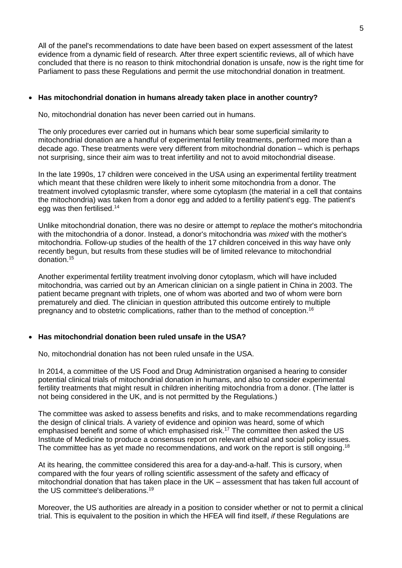All of the panel's recommendations to date have been based on expert assessment of the latest evidence from a dynamic field of research. After three expert scientific reviews, all of which have concluded that there is no reason to think mitochondrial donation is unsafe, now is the right time for Parliament to pass these Regulations and permit the use mitochondrial donation in treatment.

## **Has mitochondrial donation in humans already taken place in another country?**

No, mitochondrial donation has never been carried out in humans.

The only procedures ever carried out in humans which bear some superficial similarity to mitochondrial donation are a handful of experimental fertility treatments, performed more than a decade ago. These treatments were very different from mitochondrial donation – which is perhaps not surprising, since their aim was to treat infertility and not to avoid mitochondrial disease.

In the late 1990s, 17 children were conceived in the USA using an experimental fertility treatment which meant that these children were likely to inherit some mitochondria from a donor. The treatment involved cytoplasmic transfer, where some cytoplasm (the material in a cell that contains the mitochondria) was taken from a donor egg and added to a fertility patient's egg. The patient's egg was then fertilised.<sup>14</sup>

Unlike mitochondrial donation, there was no desire or attempt to *replace* the mother's mitochondria with the mitochondria of a donor. Instead, a donor's mitochondria was *mixed* with the mother's mitochondria. Follow-up studies of the health of the 17 children conceived in this way have only recently begun, but results from these studies will be of limited relevance to mitochondrial donation.<sup>15</sup>

Another experimental fertility treatment involving donor cytoplasm, which will have included mitochondria, was carried out by an American clinician on a single patient in China in 2003. The patient became pregnant with triplets, one of whom was aborted and two of whom were born prematurely and died. The clinician in question attributed this outcome entirely to multiple pregnancy and to obstetric complications, rather than to the method of conception.<sup>16</sup>

## **Has mitochondrial donation been ruled unsafe in the USA?**

No, mitochondrial donation has not been ruled unsafe in the USA.

In 2014, a committee of the US Food and Drug Administration organised a hearing to consider potential clinical trials of mitochondrial donation in humans, and also to consider experimental fertility treatments that might result in children inheriting mitochondria from a donor. (The latter is not being considered in the UK, and is not permitted by the Regulations.)

The committee was asked to assess benefits and risks, and to make recommendations regarding the design of clinical trials. A variety of evidence and opinion was heard, some of which emphasised benefit and some of which emphasised risk.<sup>17</sup> The committee then asked the US Institute of Medicine to produce a consensus report on relevant ethical and social policy issues. The committee has as yet made no recommendations, and work on the report is still ongoing.<sup>18</sup>

At its hearing, the committee considered this area for a day-and-a-half. This is cursory, when compared with the four years of rolling scientific assessment of the safety and efficacy of mitochondrial donation that has taken place in the UK – assessment that has taken full account of the US committee's deliberations.<sup>19</sup>

Moreover, the US authorities are already in a position to consider whether or not to permit a clinical trial. This is equivalent to the position in which the HFEA will find itself, *if* these Regulations are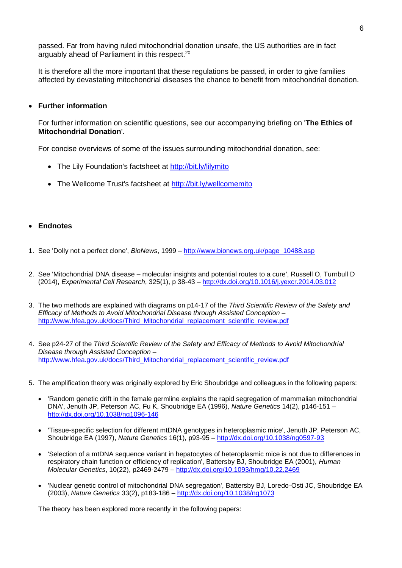passed. Far from having ruled mitochondrial donation unsafe, the US authorities are in fact arguably ahead of Parliament in this respect.<sup>20</sup>

It is therefore all the more important that these regulations be passed, in order to give families affected by devastating mitochondrial diseases the chance to benefit from mitochondrial donation.

#### **Further information**

For further information on scientific questions, see our accompanying briefing on '**The Ethics of Mitochondrial Donation**'.

For concise overviews of some of the issues surrounding mitochondrial donation, see:

- The Lily Foundation's factsheet at<http://bit.ly/lilymito>
- The Wellcome Trust's factsheet at<http://bit.ly/wellcomemito>

#### **Endnotes**

- 1. See 'Dolly not a perfect clone', *BioNews*, 1999 [http://www.bionews.org.uk/page\\_10488.asp](http://www.bionews.org.uk/page_10488.asp)
- 2. See 'Mitochondrial DNA disease molecular insights and potential routes to a cure', Russell O, Turnbull D (2014), *Experimental Cell Research*, 325(1), p 38-43 – <http://dx.doi.org/10.1016/j.yexcr.2014.03.012>
- 3. The two methods are explained with diagrams on p14-17 of the *Third Scientific Review of the Safety and Efficacy of Methods to Avoid Mitochondrial Disease through Assisted Conception* – [http://www.hfea.gov.uk/docs/Third\\_Mitochondrial\\_replacement\\_scientific\\_review.pdf](http://www.hfea.gov.uk/docs/Third_Mitochondrial_replacement_scientific_review.pdf)
- 4. See p24-27 of the *Third Scientific Review of the Safety and Efficacy of Methods to Avoid Mitochondrial Disease through Assisted Conception* – [http://www.hfea.gov.uk/docs/Third\\_Mitochondrial\\_replacement\\_scientific\\_review.pdf](http://www.hfea.gov.uk/docs/Third_Mitochondrial_replacement_scientific_review.pdf)
- 5. The amplification theory was originally explored by Eric Shoubridge and colleagues in the following papers:
	- 'Random genetic drift in the female germline explains the rapid segregation of mammalian mitochondrial DNA', Jenuth JP, Peterson AC, Fu K, Shoubridge EA (1996), *Nature Genetics* 14(2), p146-151 – <http://dx.doi.org/10.1038/ng1096-146>
	- 'Tissue-specific selection for different mtDNA genotypes in heteroplasmic mice', Jenuth JP, Peterson AC, Shoubridge EA (1997), *Nature Genetics* 16(1), p93-95 – <http://dx.doi.org/10.1038/ng0597-93>
	- 'Selection of a mtDNA sequence variant in hepatocytes of heteroplasmic mice is not due to differences in respiratory chain function or efficiency of replication', Battersby BJ, Shoubridge EA (2001), *Human Molecular Genetics*, 10(22), p2469-2479 – <http://dx.doi.org/10.1093/hmg/10.22.2469>
	- 'Nuclear genetic control of mitochondrial DNA segregation', Battersby BJ, Loredo-Osti JC, Shoubridge EA (2003), *Nature Genetics* 33(2), p183-186 – <http://dx.doi.org/10.1038/ng1073>

The theory has been explored more recently in the following papers: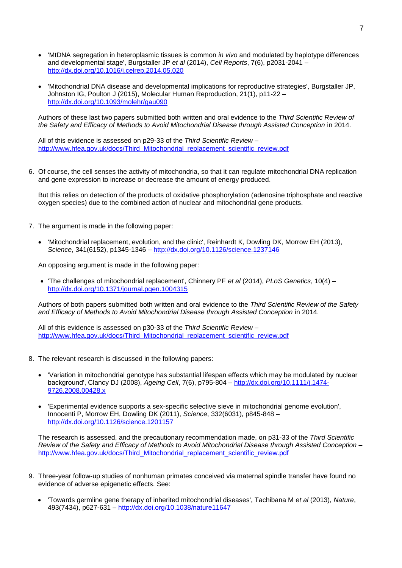- 'MtDNA segregation in heteroplasmic tissues is common *in vivo* and modulated by haplotype differences and developmental stage', Burgstaller JP *et al* (2014), *Cell Reports*, 7(6), p2031-2041 – <http://dx.doi.org/10.1016/j.celrep.2014.05.020>
- 'Mitochondrial DNA disease and developmental implications for reproductive strategies', Burgstaller JP, Johnston IG, Poulton J (2015), Molecular Human Reproduction, 21(1), p11-22 – <http://dx.doi.org/10.1093/molehr/gau090>

Authors of these last two papers submitted both written and oral evidence to the *Third Scientific Review of the Safety and Efficacy of Methods to Avoid Mitochondrial Disease through Assisted Conception* in 2014.

All of this evidence is assessed on p29-33 of the *Third Scientific Review* – [http://www.hfea.gov.uk/docs/Third\\_Mitochondrial\\_replacement\\_scientific\\_review.pdf](http://www.hfea.gov.uk/docs/Third_Mitochondrial_replacement_scientific_review.pdf)

6. Of course, the cell senses the activity of mitochondria, so that it can regulate mitochondrial DNA replication and gene expression to increase or decrease the amount of energy produced.

But this relies on detection of the products of oxidative phosphorylation (adenosine triphosphate and reactive oxygen species) due to the combined action of nuclear and mitochondrial gene products.

- 7. The argument is made in the following paper:
	- 'Mitochondrial replacement, evolution, and the clinic', Reinhardt K, Dowling DK, Morrow EH (2013), *Science*, 341(6152), p1345-1346 – <http://dx.doi.org/10.1126/science.1237146>

An opposing argument is made in the following paper:

 'The challenges of mitochondrial replacement', Chinnery PF *et al* (2014), *PLoS Genetics*, 10(4) – <http://dx.doi.org/10.1371/journal.pgen.1004315>

Authors of both papers submitted both written and oral evidence to the *Third Scientific Review of the Safety and Efficacy of Methods to Avoid Mitochondrial Disease through Assisted Conception* in 2014.

All of this evidence is assessed on p30-33 of the *Third Scientific Review* – [http://www.hfea.gov.uk/docs/Third\\_Mitochondrial\\_replacement\\_scientific\\_review.pdf](http://www.hfea.gov.uk/docs/Third_Mitochondrial_replacement_scientific_review.pdf)

- 8. The relevant research is discussed in the following papers:
	- 'Variation in mitochondrial genotype has substantial lifespan effects which may be modulated by nuclear background', Clancy DJ (2008), *Ageing Cell*, 7(6), p795-804 – [http://dx.doi.org/10.1111/j.1474-](http://dx.doi.org/10.1111/j.1474-9726.2008.00428.x) [9726.2008.00428.x](http://dx.doi.org/10.1111/j.1474-9726.2008.00428.x)
	- 'Experimental evidence supports a sex-specific selective sieve in mitochondrial genome evolution', Innocenti P, Morrow EH, Dowling DK (2011), *Science*, 332(6031), p845-848 – <http://dx.doi.org/10.1126/science.1201157>

The research is assessed, and the precautionary recommendation made, on p31-33 of the *Third Scientific Review of the Safety and Efficacy of Methods to Avoid Mitochondrial Disease through Assisted Conception* – [http://www.hfea.gov.uk/docs/Third\\_Mitochondrial\\_replacement\\_scientific\\_review.pdf](http://www.hfea.gov.uk/docs/Third_Mitochondrial_replacement_scientific_review.pdf)

- 9. Three-year follow-up studies of nonhuman primates conceived via maternal spindle transfer have found no evidence of adverse epigenetic effects. See:
	- 'Towards germline gene therapy of inherited mitochondrial diseases', Tachibana M *et al* (2013), *Nature*, 493(7434), p627-631 – <http://dx.doi.org/10.1038/nature11647>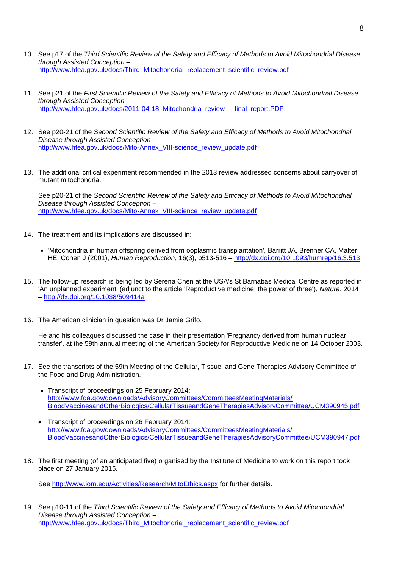- 10. See p17 of the *Third Scientific Review of the Safety and Efficacy of Methods to Avoid Mitochondrial Disease through Assisted Conception* – [http://www.hfea.gov.uk/docs/Third\\_Mitochondrial\\_replacement\\_scientific\\_review.pdf](http://www.hfea.gov.uk/docs/Third_Mitochondrial_replacement_scientific_review.pdf)
- 11. See p21 of the *First Scientific Review of the Safety and Efficacy of Methods to Avoid Mitochondrial Disease through Assisted Conception* – [http://www.hfea.gov.uk/docs/2011-04-18\\_Mitochondria\\_review\\_-\\_final\\_report.PDF](http://www.hfea.gov.uk/docs/2011-04-18_Mitochondria_review_-_final_report.PDF)
- 12. See p20-21 of the *Second Scientific Review of the Safety and Efficacy of Methods to Avoid Mitochondrial Disease through Assisted Conception* – [http://www.hfea.gov.uk/docs/Mito-Annex\\_VIII-science\\_review\\_update.pdf](http://www.hfea.gov.uk/docs/Mito-Annex_VIII-science_review_update.pdf)
- 13. The additional critical experiment recommended in the 2013 review addressed concerns about carryover of mutant mitochondria.

See p20-21 of the *Second Scientific Review of the Safety and Efficacy of Methods to Avoid Mitochondrial Disease through Assisted Conception* – [http://www.hfea.gov.uk/docs/Mito-Annex\\_VIII-science\\_review\\_update.pdf](http://www.hfea.gov.uk/docs/Mito-Annex_VIII-science_review_update.pdf)

- 14. The treatment and its implications are discussed in:
	- 'Mitochondria in human offspring derived from ooplasmic transplantation', Barritt JA, Brenner CA, Malter HE, Cohen J (2001), *Human Reproduction*, 16(3), p513-516 – <http://dx.doi.org/10.1093/humrep/16.3.513>
- 15. The follow-up research is being led by Serena Chen at the USA's St Barnabas Medical Centre as reported in 'An unplanned experiment' (adjunct to the article 'Reproductive medicine: the power of three'), *Nature*, 2014 – <http://dx.doi.org/10.1038/509414a>
- 16. The American clinician in question was Dr Jamie Grifo.

He and his colleagues discussed the case in their presentation 'Pregnancy derived from human nuclear transfer', at the 59th annual meeting of the American Society for Reproductive Medicine on 14 October 2003.

- 17. See the transcripts of the 59th Meeting of the Cellular, Tissue, and Gene Therapies Advisory Committee of the Food and Drug Administration.
	- Transcript of proceedings on 25 February 2014: [http://www.fda.gov/downloads/AdvisoryCommittees/CommitteesMeetingMaterials/](http://www.fda.gov/downloads/AdvisoryCommittees/CommitteesMeetingMaterials/BloodVaccinesandOtherBiologics/CellularTissueandGeneTherapiesAdvisoryCommittee/UCM390945.pdf) [BloodVaccinesandOtherBiologics/CellularTissueandGeneTherapiesAdvisoryCommittee/UCM390945.pdf](http://www.fda.gov/downloads/AdvisoryCommittees/CommitteesMeetingMaterials/BloodVaccinesandOtherBiologics/CellularTissueandGeneTherapiesAdvisoryCommittee/UCM390945.pdf)
	- Transcript of proceedings on 26 February 2014: [http://www.fda.gov/downloads/AdvisoryCommittees/CommitteesMeetingMaterials/](http://www.fda.gov/downloads/AdvisoryCommittees/CommitteesMeetingMaterials/BloodVaccinesandOtherBiologics/CellularTissueandGeneTherapiesAdvisoryCommittee/UCM390947.pdf) [BloodVaccinesandOtherBiologics/CellularTissueandGeneTherapiesAdvisoryCommittee/UCM390947.pdf](http://www.fda.gov/downloads/AdvisoryCommittees/CommitteesMeetingMaterials/BloodVaccinesandOtherBiologics/CellularTissueandGeneTherapiesAdvisoryCommittee/UCM390947.pdf)
- 18. The first meeting (of an anticipated five) organised by the Institute of Medicine to work on this report took place on 27 January 2015.

See<http://www.iom.edu/Activities/Research/MitoEthics.aspx> for further details.

19. See p10-11 of the *Third Scientific Review of the Safety and Efficacy of Methods to Avoid Mitochondrial Disease through Assisted Conception* – [http://www.hfea.gov.uk/docs/Third\\_Mitochondrial\\_replacement\\_scientific\\_review.pdf](http://www.hfea.gov.uk/docs/Third_Mitochondrial_replacement_scientific_review.pdf)